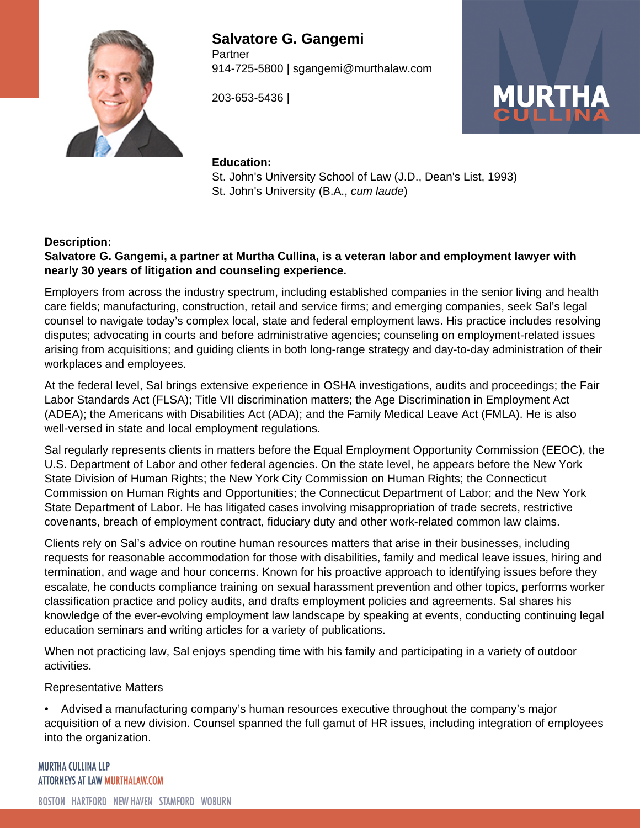

**Salvatore G. Gangemi Partner** 914-725-5800 | sgangemi@murthalaw.com

203-653-5436 |



#### **Education:**

St. John's University School of Law (J.D., Dean's List, 1993) St. John's University (B.A., cum laude)

#### **Description:**

#### **Salvatore G. Gangemi, a partner at Murtha Cullina, is a veteran labor and employment lawyer with nearly 30 years of litigation and counseling experience.**

Employers from across the industry spectrum, including established companies in the senior living and health care fields; manufacturing, construction, retail and service firms; and emerging companies, seek Sal's legal counsel to navigate today's complex local, state and federal employment laws. His practice includes resolving disputes; advocating in courts and before administrative agencies; counseling on employment-related issues arising from acquisitions; and guiding clients in both long-range strategy and day-to-day administration of their workplaces and employees.

At the federal level, Sal brings extensive experience in OSHA investigations, audits and proceedings; the Fair Labor Standards Act (FLSA); Title VII discrimination matters; the Age Discrimination in Employment Act (ADEA); the Americans with Disabilities Act (ADA); and the Family Medical Leave Act (FMLA). He is also well-versed in state and local employment regulations.

Sal regularly represents clients in matters before the Equal Employment Opportunity Commission (EEOC), the U.S. Department of Labor and other federal agencies. On the state level, he appears before the New York State Division of Human Rights; the New York City Commission on Human Rights; the Connecticut Commission on Human Rights and Opportunities; the Connecticut Department of Labor; and the New York State Department of Labor. He has litigated cases involving misappropriation of trade secrets, restrictive covenants, breach of employment contract, fiduciary duty and other work-related common law claims.

Clients rely on Sal's advice on routine human resources matters that arise in their businesses, including requests for reasonable accommodation for those with disabilities, family and medical leave issues, hiring and termination, and wage and hour concerns. Known for his proactive approach to identifying issues before they escalate, he conducts compliance training on sexual harassment prevention and other topics, performs worker classification practice and policy audits, and drafts employment policies and agreements. Sal shares his knowledge of the ever-evolving employment law landscape by speaking at events, conducting continuing legal education seminars and writing articles for a variety of publications.

When not practicing law, Sal enjoys spending time with his family and participating in a variety of outdoor activities.

Representative Matters

• Advised a manufacturing company's human resources executive throughout the company's major acquisition of a new division. Counsel spanned the full gamut of HR issues, including integration of employees into the organization.

**MURTHA CULLINA LLP** ATTORNEYS AT LAW MURTHALAW.COM